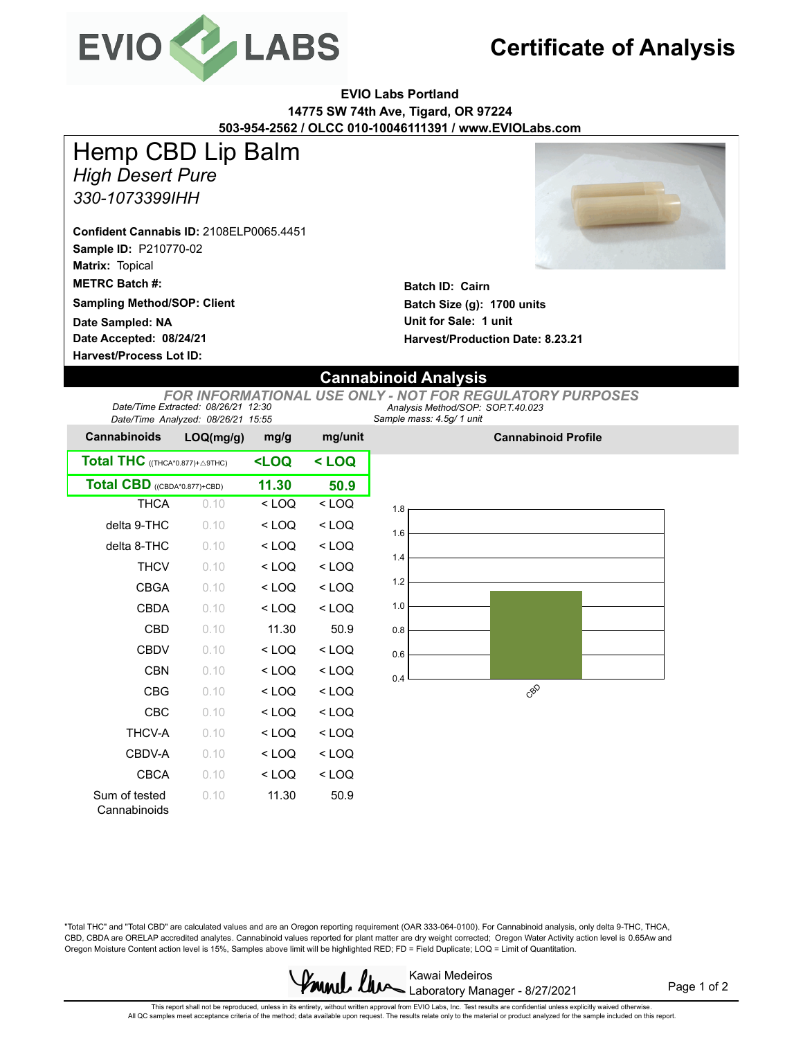

## **Certificate of Analysis**

**EVIO Labs Portland 14775 SW 74th Ave, Tigard, OR 97224 503-954-2562 / OLCC 010-10046111391 / www.EVIOLabs.com**

*High Desert Pure* Hemp CBD Lip Balm

*330-1073399IHH*

**Sample ID:** P210770-02 **Matrix:** Topical **METRC Batch #: Confident Cannabis ID:** 2108ELP0065.4451

**Sampling Method/SOP: Client**

**Date Accepted: 08/24/21 Harvest/Process Lot ID: Date Sampled: NA**



**Batch ID: Cairn Batch Size (g): 1700 units Unit for Sale: 1 unit Harvest/Production Date: 8.23.21**

## **Cannabinoid Analysis**

*Sample mass: 4.5g/ 1 unit Analysis Method/SOP: SOP.T.40.023 FOR INFORMATIONAL USE ONLY - NOT FOR REGULATORY PURPOSES Date/Time Extracted: 08/26/21 12:30 Date/Time Analyzed: 08/26/21 15:55*

| <b>Cannabinoids</b>             | LOQ(mg/g) | mg/g                                             | mg/unit |  |
|---------------------------------|-----------|--------------------------------------------------|---------|--|
| Total THC ((THCA*0.877)+ A9THC) |           | <loq< th=""><th colspan="2">&lt; LOQ</th></loq<> | < LOQ   |  |
| Total CBD ((CBDA*0.877)+CBD)    | 11.30     | 50.9                                             |         |  |
| THCA                            | 0.10      | $<$ LOQ                                          | $<$ LOQ |  |
| delta 9-THC                     | 0.10      | $<$ LOQ                                          | $<$ LOQ |  |
| delta 8-THC                     | 0.10      | < LOQ                                            | $<$ LOQ |  |
| <b>THCV</b>                     | 0.10      | $<$ LOQ                                          | $<$ LOQ |  |
| <b>CBGA</b>                     | 0.10      | $<$ LOQ                                          | $<$ LOQ |  |
| CBDA                            | 0.10      | $<$ LOQ                                          | $<$ LOQ |  |
| CBD                             | 0.10      | 11.30                                            | 50.9    |  |
| CBDV                            | 0.10      | $<$ LOQ                                          | $<$ LOQ |  |
| CBN                             | 0.10      | $<$ LOQ                                          | $<$ LOQ |  |
| <b>CBG</b>                      | 0.10      | $<$ LOQ                                          | $<$ LOQ |  |
| CBC                             | 0.10      | $<$ LOQ                                          | $<$ LOQ |  |
| <b>THCV-A</b>                   | 0.10      | $<$ LOQ                                          | $<$ LOQ |  |
| CBDV-A                          | 0.10      | $<$ LOQ                                          | $<$ LOQ |  |
| <b>CBCA</b>                     | 0.10      | $<$ LOQ                                          | $<$ LOQ |  |
| Sum of tested<br>Cannabinoids   | 0.10      | 11.30                                            | 50.9    |  |



**Cannabinoid Profile**

"Total THC" and "Total CBD" are calculated values and are an Oregon reporting requirement (OAR 333-064-0100). For Cannabinoid analysis, only delta 9-THC, THCA, CBD, CBDA are ORELAP accredited analytes. Cannabinoid values reported for plant matter are dry weight corrected; Oregon Water Activity action level is 0.65Aw and Oregon Moisture Content action level is 15%, Samples above limit will be highlighted RED; FD = Field Duplicate; LOQ = Limit of Quantitation.



Page 1 of 2

This report shall not be reproduced, unless in its entirety, without written approval from EVIO Labs, Inc. Test results are confidential unless explicitly waived otherwise.<br>All QC samples meet acceptance criteria of the me